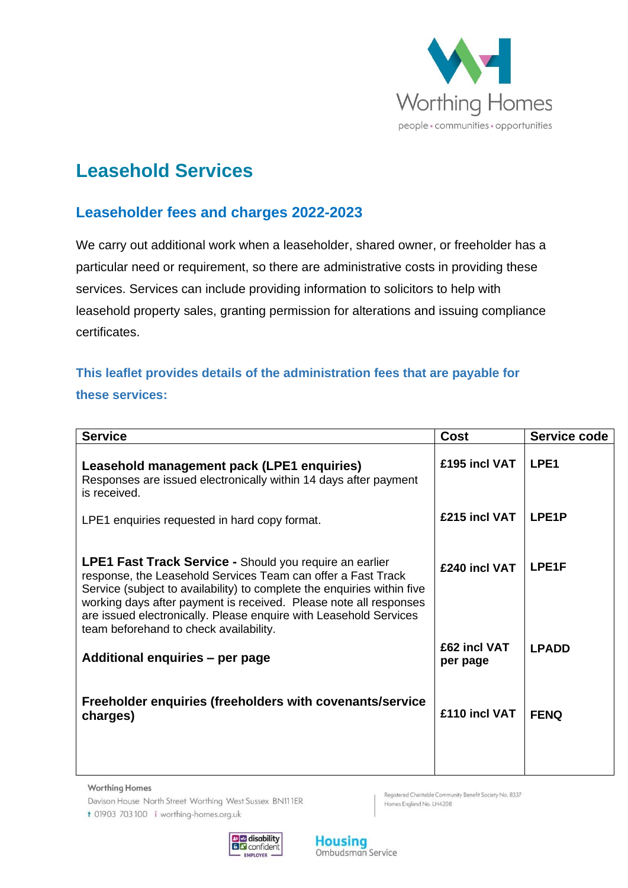

# **Leasehold Services**

# **Leaseholder fees and charges 2022-2023**

We carry out additional work when a leaseholder, shared owner, or freeholder has a particular need or requirement, so there are administrative costs in providing these services. Services can include providing information to solicitors to help with leasehold property sales, granting permission for alterations and issuing compliance certificates.

# **This leaflet provides details of the administration fees that are payable for these services:**

| <b>Service</b>                                                                                                                                                                                                                                                                                                                                                                                | <b>Cost</b>                   | Service code          |
|-----------------------------------------------------------------------------------------------------------------------------------------------------------------------------------------------------------------------------------------------------------------------------------------------------------------------------------------------------------------------------------------------|-------------------------------|-----------------------|
| Leasehold management pack (LPE1 enquiries)<br>Responses are issued electronically within 14 days after payment<br>is received.                                                                                                                                                                                                                                                                | £195 incl VAT                 | LPE <sub>1</sub>      |
| LPE1 enquiries requested in hard copy format.                                                                                                                                                                                                                                                                                                                                                 | £215 incl VAT                 | LPE <sub>1</sub> P    |
| <b>LPE1 Fast Track Service - Should you require an earlier</b><br>response, the Leasehold Services Team can offer a Fast Track<br>Service (subject to availability) to complete the enquiries within five<br>working days after payment is received. Please note all responses<br>are issued electronically. Please enquire with Leasehold Services<br>team beforehand to check availability. | £240 incl VAT<br>£62 incl VAT | LPE1F<br><b>LPADD</b> |
| Additional enquiries - per page                                                                                                                                                                                                                                                                                                                                                               | per page                      |                       |
| Freeholder enquiries (freeholders with covenants/service<br>charges)                                                                                                                                                                                                                                                                                                                          | £110 incl VAT                 | <b>FENQ</b>           |

**Worthing Homes** 

Davison House North Street Worthing West Sussex BN111ER

Registered Charitable Community Benefit Society No. 8337 Homes England No. LH4208

t 01903 703 100 i worthing-homes.org.uk

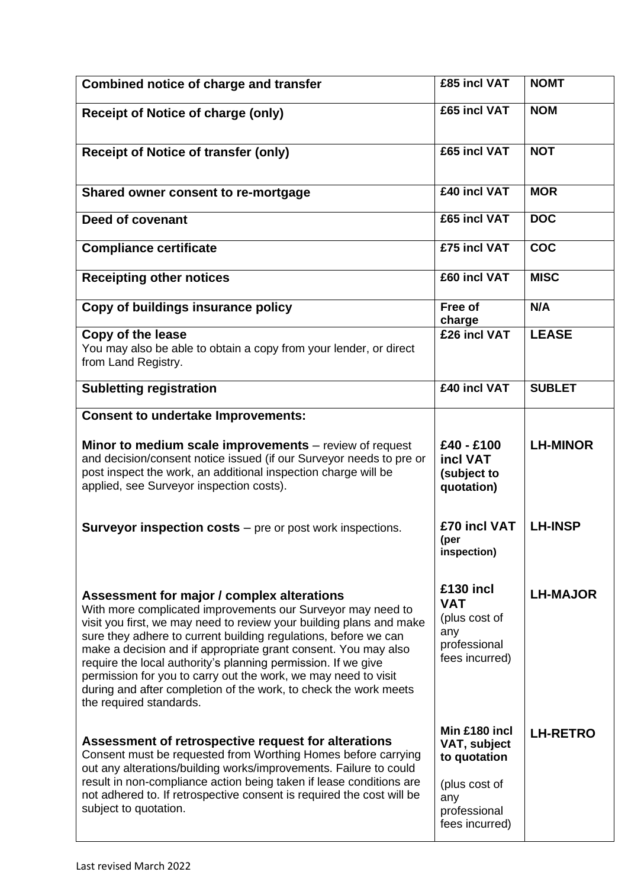| <b>Combined notice of charge and transfer</b>                                                                                                                                                                                                                                                                                                                                                                                                                                                                                                           | £85 incl VAT                                                                                            | <b>NOMT</b>     |
|---------------------------------------------------------------------------------------------------------------------------------------------------------------------------------------------------------------------------------------------------------------------------------------------------------------------------------------------------------------------------------------------------------------------------------------------------------------------------------------------------------------------------------------------------------|---------------------------------------------------------------------------------------------------------|-----------------|
| <b>Receipt of Notice of charge (only)</b>                                                                                                                                                                                                                                                                                                                                                                                                                                                                                                               | £65 incl VAT                                                                                            | <b>NOM</b>      |
| <b>Receipt of Notice of transfer (only)</b>                                                                                                                                                                                                                                                                                                                                                                                                                                                                                                             | £65 incl VAT                                                                                            | <b>NOT</b>      |
| Shared owner consent to re-mortgage                                                                                                                                                                                                                                                                                                                                                                                                                                                                                                                     | £40 incl VAT                                                                                            | <b>MOR</b>      |
| Deed of covenant                                                                                                                                                                                                                                                                                                                                                                                                                                                                                                                                        | £65 incl VAT                                                                                            | <b>DOC</b>      |
| <b>Compliance certificate</b>                                                                                                                                                                                                                                                                                                                                                                                                                                                                                                                           | £75 incl VAT                                                                                            | <b>COC</b>      |
| <b>Receipting other notices</b>                                                                                                                                                                                                                                                                                                                                                                                                                                                                                                                         | £60 incl VAT                                                                                            | <b>MISC</b>     |
| Copy of buildings insurance policy                                                                                                                                                                                                                                                                                                                                                                                                                                                                                                                      | Free of<br>charge                                                                                       | N/A             |
| Copy of the lease<br>You may also be able to obtain a copy from your lender, or direct<br>from Land Registry.                                                                                                                                                                                                                                                                                                                                                                                                                                           | £26 incl VAT                                                                                            | <b>LEASE</b>    |
| <b>Subletting registration</b>                                                                                                                                                                                                                                                                                                                                                                                                                                                                                                                          | £40 incl VAT                                                                                            | <b>SUBLET</b>   |
| <b>Consent to undertake Improvements:</b>                                                                                                                                                                                                                                                                                                                                                                                                                                                                                                               |                                                                                                         |                 |
| Minor to medium scale improvements – review of request<br>and decision/consent notice issued (if our Surveyor needs to pre or<br>post inspect the work, an additional inspection charge will be<br>applied, see Surveyor inspection costs).                                                                                                                                                                                                                                                                                                             | £40 - £100<br>incl VAT<br>(subject to<br>quotation)                                                     | <b>LH-MINOR</b> |
| <b>Surveyor inspection costs</b> $-$ pre or post work inspections.                                                                                                                                                                                                                                                                                                                                                                                                                                                                                      | £70 incl VAT<br>(per<br>inspection)                                                                     | <b>LH-INSP</b>  |
| Assessment for major / complex alterations<br>With more complicated improvements our Surveyor may need to<br>visit you first, we may need to review your building plans and make<br>sure they adhere to current building regulations, before we can<br>make a decision and if appropriate grant consent. You may also<br>require the local authority's planning permission. If we give<br>permission for you to carry out the work, we may need to visit<br>during and after completion of the work, to check the work meets<br>the required standards. | £130 incl<br><b>VAT</b><br>(plus cost of<br>any<br>professional<br>fees incurred)                       | <b>LH-MAJOR</b> |
| Assessment of retrospective request for alterations<br>Consent must be requested from Worthing Homes before carrying<br>out any alterations/building works/improvements. Failure to could<br>result in non-compliance action being taken if lease conditions are<br>not adhered to. If retrospective consent is required the cost will be<br>subject to quotation.                                                                                                                                                                                      | Min £180 incl<br>VAT, subject<br>to quotation<br>(plus cost of<br>any<br>professional<br>fees incurred) | <b>LH-RETRO</b> |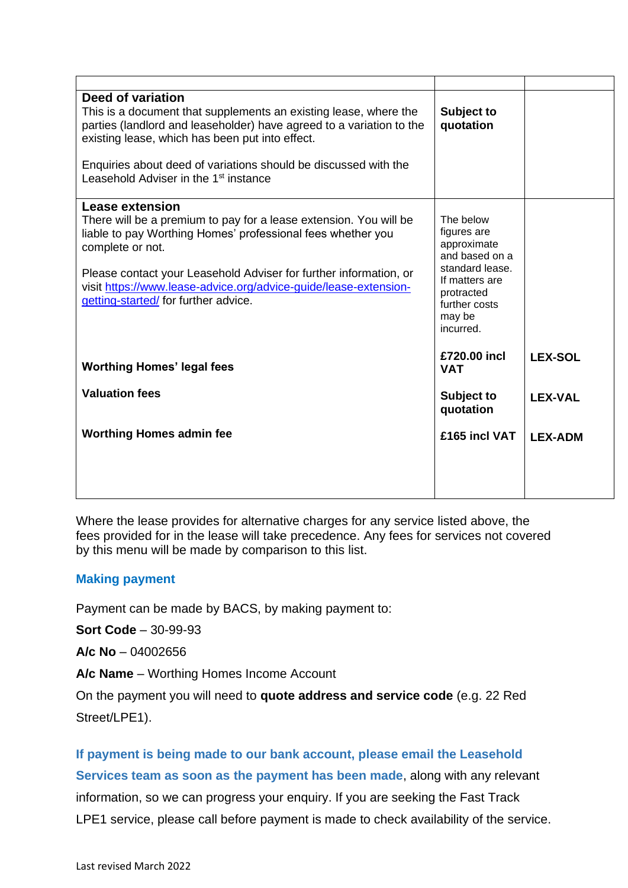| <b>Deed of variation</b><br>This is a document that supplements an existing lease, where the<br>parties (landlord and leaseholder) have agreed to a variation to the<br>existing lease, which has been put into effect.<br>Enquiries about deed of variations should be discussed with the<br>Leasehold Adviser in the 1 <sup>st</sup> instance         | Subject to<br>quotation                                                                                                                              |                |
|---------------------------------------------------------------------------------------------------------------------------------------------------------------------------------------------------------------------------------------------------------------------------------------------------------------------------------------------------------|------------------------------------------------------------------------------------------------------------------------------------------------------|----------------|
| Lease extension<br>There will be a premium to pay for a lease extension. You will be<br>liable to pay Worthing Homes' professional fees whether you<br>complete or not.<br>Please contact your Leasehold Adviser for further information, or<br>visit https://www.lease-advice.org/advice-guide/lease-extension-<br>getting-started/for further advice. | The below<br>figures are<br>approximate<br>and based on a<br>standard lease.<br>If matters are<br>protracted<br>further costs<br>may be<br>incurred. |                |
| <b>Worthing Homes' legal fees</b>                                                                                                                                                                                                                                                                                                                       | £720.00 incl<br><b>VAT</b>                                                                                                                           | <b>LEX-SOL</b> |
| <b>Valuation fees</b>                                                                                                                                                                                                                                                                                                                                   | Subject to<br>quotation                                                                                                                              | <b>LEX-VAL</b> |
| <b>Worthing Homes admin fee</b>                                                                                                                                                                                                                                                                                                                         | £165 incl VAT                                                                                                                                        | <b>LEX-ADM</b> |
|                                                                                                                                                                                                                                                                                                                                                         |                                                                                                                                                      |                |

Where the lease provides for alternative charges for any service listed above, the fees provided for in the lease will take precedence. Any fees for services not covered by this menu will be made by comparison to this list.

#### **Making payment**

Payment can be made by BACS, by making payment to:

**Sort Code** – 30-99-93

**A/c No** – 04002656

**A/c Name** – Worthing Homes Income Account

On the payment you will need to **quote address and service code** (e.g. 22 Red Street/LPE1).

**If payment is being made to our bank account, please email the Leasehold** 

**Services team as soon as the payment has been made**, along with any relevant information, so we can progress your enquiry. If you are seeking the Fast Track LPE1 service, please call before payment is made to check availability of the service.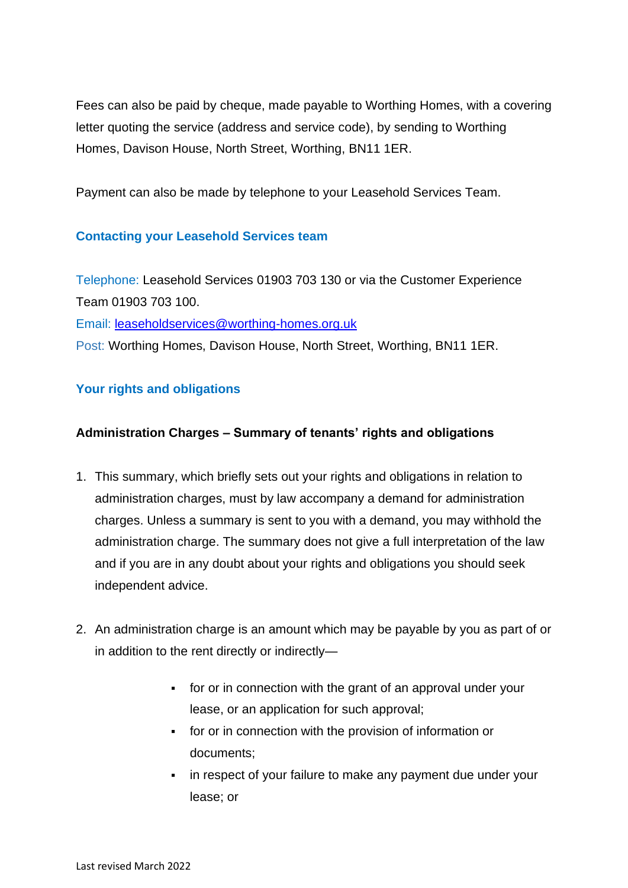Fees can also be paid by cheque, made payable to Worthing Homes, with a covering letter quoting the service (address and service code), by sending to Worthing Homes, Davison House, North Street, Worthing, BN11 1ER.

Payment can also be made by telephone to your Leasehold Services Team.

### **Contacting your Leasehold Services team**

Telephone: Leasehold Services 01903 703 130 or via the Customer Experience Team 01903 703 100.

Email: [leaseholdservices@worthing-homes.org.uk](mailto:leaseholdservices@worthing-homes.org.uk)

Post: Worthing Homes, Davison House, North Street, Worthing, BN11 1ER.

## **Your rights and obligations**

## **Administration Charges – Summary of tenants' rights and obligations**

- 1. This summary, which briefly sets out your rights and obligations in relation to administration charges, must by law accompany a demand for administration charges. Unless a summary is sent to you with a demand, you may withhold the administration charge. The summary does not give a full interpretation of the law and if you are in any doubt about your rights and obligations you should seek independent advice.
- 2. An administration charge is an amount which may be payable by you as part of or in addition to the rent directly or indirectly—
	- for or in connection with the grant of an approval under your lease, or an application for such approval;
	- for or in connection with the provision of information or documents;
	- **•** in respect of your failure to make any payment due under your lease; or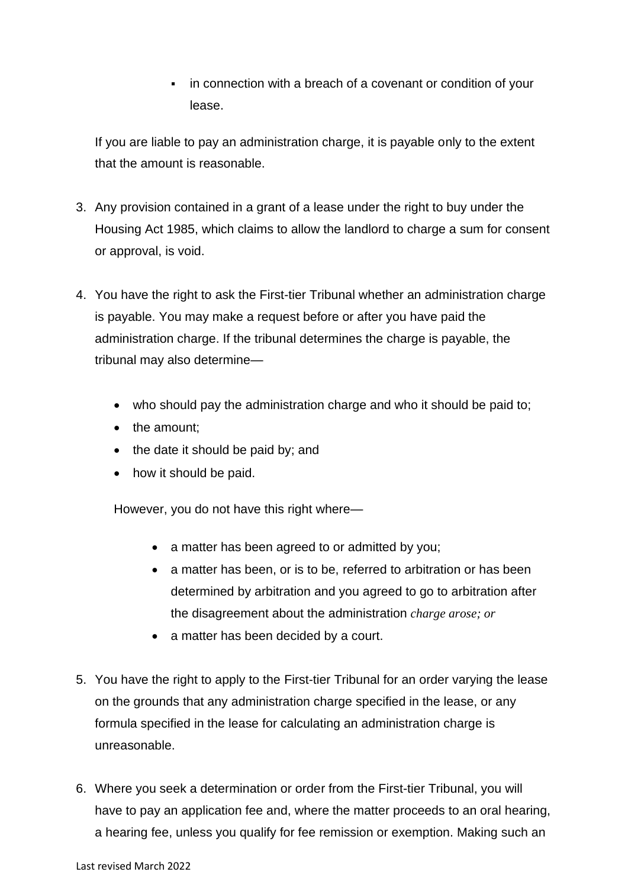**•** in connection with a breach of a covenant or condition of your lease.

If you are liable to pay an administration charge, it is payable only to the extent that the amount is reasonable.

- 3. Any provision contained in a grant of a lease under the right to buy under the Housing Act 1985, which claims to allow the landlord to charge a sum for consent or approval, is void.
- 4. You have the right to ask the First-tier Tribunal whether an administration charge is payable. You may make a request before or after you have paid the administration charge. If the tribunal determines the charge is payable, the tribunal may also determine—
	- who should pay the administration charge and who it should be paid to;
	- the amount;
	- the date it should be paid by; and
	- how it should be paid.

However, you do not have this right where—

- a matter has been agreed to or admitted by you;
- a matter has been, or is to be, referred to arbitration or has been determined by arbitration and you agreed to go to arbitration after the disagreement about the administration *charge arose; or*
- a matter has been decided by a court.
- 5. You have the right to apply to the First-tier Tribunal for an order varying the lease on the grounds that any administration charge specified in the lease, or any formula specified in the lease for calculating an administration charge is unreasonable.
- 6. Where you seek a determination or order from the First-tier Tribunal, you will have to pay an application fee and, where the matter proceeds to an oral hearing, a hearing fee, unless you qualify for fee remission or exemption. Making such an